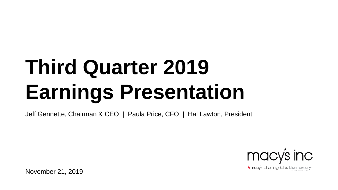# **Third Quarter 2019 Earnings Presentation**

Jeff Gennette, Chairman & CEO | Paula Price, CFO | Hal Lawton, President



November 21, 2019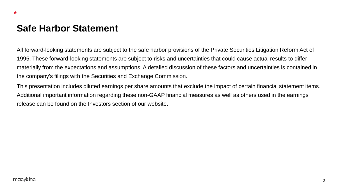### **Safe Harbor Statement**

All forward-looking statements are subject to the safe harbor provisions of the Private Securities Litigation Reform Act of 1995. These forward-looking statements are subject to risks and uncertainties that could cause actual results to differ materially from the expectations and assumptions. A detailed discussion of these factors and uncertainties is contained in the company's filings with the Securities and Exchange Commission.

This presentation includes diluted earnings per share amounts that exclude the impact of certain financial statement items. Additional important information regarding these non-GAAP financial measures as well as others used in the earnings release can be found on the Investors section of our website.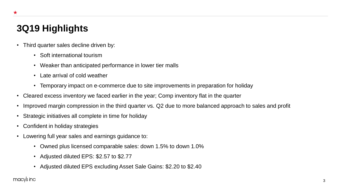# **3Q19 Highlights**

 $\star$ 

- Third quarter sales decline driven by:
	- Soft international tourism
	- Weaker than anticipated performance in lower tier malls
	- Late arrival of cold weather
	- Temporary impact on e-commerce due to site improvements in preparation for holiday
- Cleared excess inventory we faced earlier in the year; Comp inventory flat in the quarter
- Improved margin compression in the third quarter vs. Q2 due to more balanced approach to sales and profit
- Strategic initiatives all complete in time for holiday
- Confident in holiday strategies
- Lowering full year sales and earnings guidance to:
	- Owned plus licensed comparable sales: down 1.5% to down 1.0%
	- Adjusted diluted EPS: \$2.57 to \$2.77
	- Adjusted diluted EPS excluding Asset Sale Gains: \$2.20 to \$2.40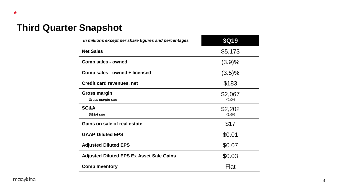# **Third Quarter Snapshot**

| in millions except per share figures and percentages | <b>3Q19</b>      |
|------------------------------------------------------|------------------|
| <b>Net Sales</b>                                     | \$5,173          |
| Comp sales - owned                                   | (3.9)%           |
| Comp sales - owned + licensed                        | (3.5)%           |
| Credit card revenues, net                            | \$183            |
| <b>Gross margin</b><br>Gross margin rate             | \$2,067<br>40.0% |
| SG&A<br>SG&A rate                                    | \$2,202<br>42.6% |
| Gains on sale of real estate                         | \$17             |
| <b>GAAP Diluted EPS</b>                              | \$0.01           |
| <b>Adjusted Diluted EPS</b>                          | \$0.07           |
| <b>Adjusted Diluted EPS Ex Asset Sale Gains</b>      | \$0.03           |
| <b>Comp Inventory</b>                                | Flat             |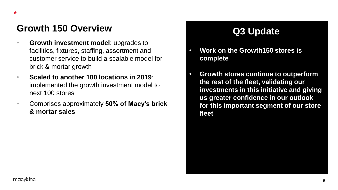# Growth 150 Overview **Q3 Update**

- **Growth investment model**: upgrades to facilities, fixtures, staffing, assortment and customer service to build a scalable model for brick & mortar growth
- **Scaled to another 100 locations in 2019**: implemented the growth investment model to next 100 stores
- Comprises approximately **50% of Macy's brick & mortar sales**

- **Work on the Growth150 stores is complete**
- **Growth stores continue to outperform the rest of the fleet, validating our investments in this initiative and giving us greater confidence in our outlook for this important segment of our store fleet**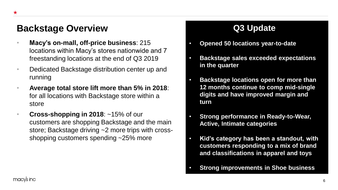### **Backstage Overview <b>Calculary Q3 Update**

- **Macy's on-mall, off-price business**: 215 locations within Macy's stores nationwide and 7 freestanding locations at the end of Q3 2019
- Dedicated Backstage distribution center up and running
- **Average total store lift more than 5% in 2018**: for all locations with Backstage store within a store
- **Cross-shopping in 2018**: ~15% of our customers are shopping Backstage and the main store; Backstage driving ~2 more trips with crossshopping customers spending ~25% more

- **Opened 50 locations year-to-date**
- **Backstage sales exceeded expectations in the quarter**
- **Backstage locations open for more than 12 months continue to comp mid-single digits and have improved margin and turn**
- **Strong performance in Ready-to-Wear, Active, Intimate categories**
- **Kid's category has been a standout, with customers responding to a mix of brand and classifications in apparel and toys**
- **Strong improvements in Shoe business**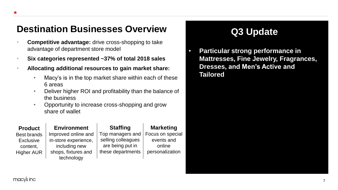# **Destination Businesses Overview <b>Q3 Update**

- **Competitive advantage:** drive cross-shopping to take advantage of department store model
- **Six categories represented ~37% of total 2018 sales**
- **Allocating additional resources to gain market share:** 
	- Macy's is in the top market share within each of these 6 areas
	- Deliver higher ROI and profitability than the balance of the business
	- Opportunity to increase cross-shopping and grow share of wallet

### **Product** Best brands **Exclusive** content, Higher AUR **Environment** Improved online and in-store experience, including new shops, fixtures and technology **Marketing** Focus on special events and online personalization **Staffing** Top managers and selling colleagues are being put in these departments

• **Particular strong performance in Mattresses, Fine Jewelry, Fragrances, Dresses, and Men's Active and Tailored**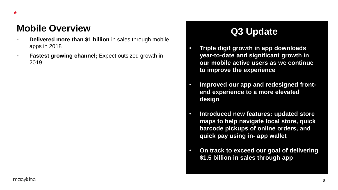# **Mobile Overview Q3 Update**

- **Delivered more than \$1 billion** in sales through mobile apps in 2018
- **Fastest growing channel;** Expect outsized growth in 2019

- **Triple digit growth in app downloads year-to-date and significant growth in our mobile active users as we continue to improve the experience**
- **Improved our app and redesigned frontend experience to a more elevated design**
- **Introduced new features: updated store maps to help navigate local store, quick barcode pickups of online orders, and quick pay using in- app wallet**
- **On track to exceed our goal of delivering \$1.5 billion in sales through app**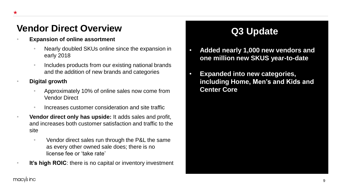# **Vendor Direct Overview <b>Q3 Update**

### • **Expansion of online assortment**

- Nearly doubled SKUs online since the expansion in early 2018
- Includes products from our existing national brands and the addition of new brands and categories

• **Digital growth**

- Approximately 10% of online sales now come from Vendor Direct
- Increases customer consideration and site traffic
- **Vendor direct only has upside:** It adds sales and profit, and increases both customer satisfaction and traffic to the site
	- Vendor direct sales run through the P&L the same as every other owned sale does; there is no license fee or 'take rate'
- **It's high ROIC:** there is no capital or inventory investment

- **Added nearly 1,000 new vendors and one million new SKUS year-to-date**
- **Expanded into new categories, including Home, Men's and Kids and Center Core**

### macy's inc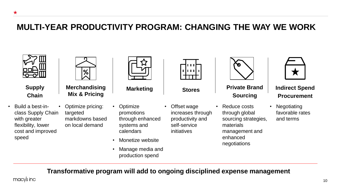### **MULTI-YEAR PRODUCTIVITY PROGRAM: CHANGING THE WAY WE WORK**



 $\star$ 

**Supply Chain**

• Build a best-inclass Supply Chain with greater flexibility, lower cost and improved speed



**Merchandising Mix & Pricing**

• Optimize pricing: targeted markdowns based on local demand

- **Optimize** promotions through enhanced systems and calendars
- Monetize website
- Manage media and production spend

| П | п<br>П | ι<br>Π | Ц<br>П |  |
|---|--------|--------|--------|--|
|   |        |        |        |  |

Offset wage increases through productivity and self-service initiatives



**Marketing Stores** Private Brand **Sourcing** 

• Reduce costs through global sourcing strategies, materials management and enhanced negotiations



### **Indirect Spend Procurement**

**Negotiating** favorable rates and terms

**Transformative program will add to ongoing disciplined expense management**

macy's inc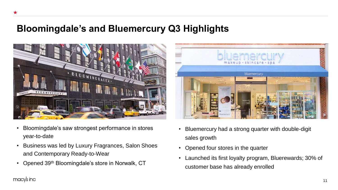### **Bloomingdale's and Bluemercury Q3 Highlights**



- Bloomingdale's saw strongest performance in stores year-to-date
- Business was led by Luxury Fragrances, Salon Shoes and Contemporary Ready-to-Wear
- Opened 39th Bloomingdale's store in Norwalk, CT



- Bluemercury had a strong quarter with double-digit sales growth
- Opened four stores in the quarter
- Launched its first loyalty program, Bluerewards; 30% of customer base has already enrolled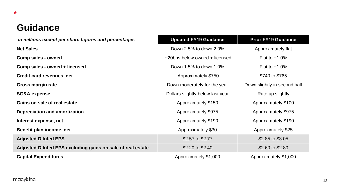# **Guidance**

| in millions except per share figures and percentages        | <b>Updated FY19 Guidance</b>     | <b>Prior FY19 Guidance</b>   |
|-------------------------------------------------------------|----------------------------------|------------------------------|
| <b>Net Sales</b>                                            | Down 2.5% to down 2.0%           | Approximately flat           |
| Comp sales - owned                                          | ~20bps below owned + licensed    | Flat to $+1.0\%$             |
| Comp sales - owned + licensed                               | Down 1.5% to down 1.0%           | Flat to $+1.0\%$             |
| Credit card revenues, net                                   | Approximately \$750              | \$740 to \$765               |
| Gross margin rate                                           | Down moderately for the year     | Down slightly in second half |
| <b>SG&amp;A expense</b>                                     | Dollars slightly below last year | Rate up slightly             |
| Gains on sale of real estate                                | Approximately \$150              | Approximately \$100          |
| <b>Depreciation and amortization</b>                        | Approximately \$975              | Approximately \$975          |
| Interest expense, net                                       | Approximately \$190              | Approximately \$190          |
| Benefit plan income, net                                    | Approximately \$30               | Approximately \$25           |
| <b>Adjusted Diluted EPS</b>                                 | \$2.57 to \$2.77                 | \$2.85 to \$3.05             |
| Adjusted Diluted EPS excluding gains on sale of real estate | \$2.20 to \$2.40                 | \$2.60 to \$2.80             |
| <b>Capital Expenditures</b>                                 | Approximately \$1,000            | Approximately \$1,000        |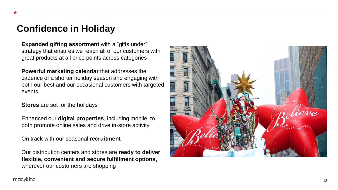### **Confidence in Holiday**

**Expanded gifting assortment** with a "gifts under" strategy that ensures we reach all of our customers with great products at all price points across categories

**Powerful marketing calendar** that addresses the cadence of a shorter holiday season and engaging with both our best and our occasional customers with targeted events

**Stores** are set for the holidays

Enhanced our **digital properties**, including mobile, to both promote online sales and drive in -store activity

On track with our seasonal **recruitment**

Our distribution centers and stores are **ready to deliver flexible, convenient and secure fulfillment options** , wherever our customers are shopping